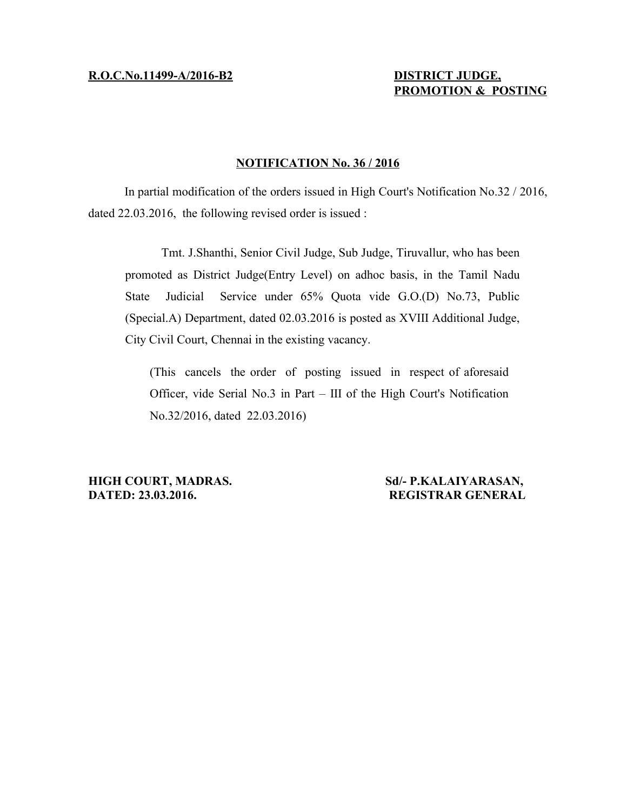# **R.O.C.No.11499-A/2016-B2 DISTRICT JUDGE,**

# **PROMOTION & POSTING**

# **NOTIFICATION No. 36 / 2016**

In partial modification of the orders issued in High Court's Notification No.32 / 2016, dated 22.03.2016, the following revised order is issued :

Tmt. J.Shanthi, Senior Civil Judge, Sub Judge, Tiruvallur, who has been promoted as District Judge(Entry Level) on adhoc basis, in the Tamil Nadu State Judicial Service under 65% Quota vide G.O.(D) No.73, Public (Special.A) Department, dated 02.03.2016 is posted as XVIII Additional Judge, City Civil Court, Chennai in the existing vacancy.

(This cancels the order of posting issued in respect of aforesaid Officer, vide Serial No.3 in Part – III of the High Court's Notification No.32/2016, dated 22.03.2016)

**HIGH COURT, MADRAS.** Sd/- P.KALAIYARASAN, **DATED: 23.03.2016. REGISTRAR GENERAL**